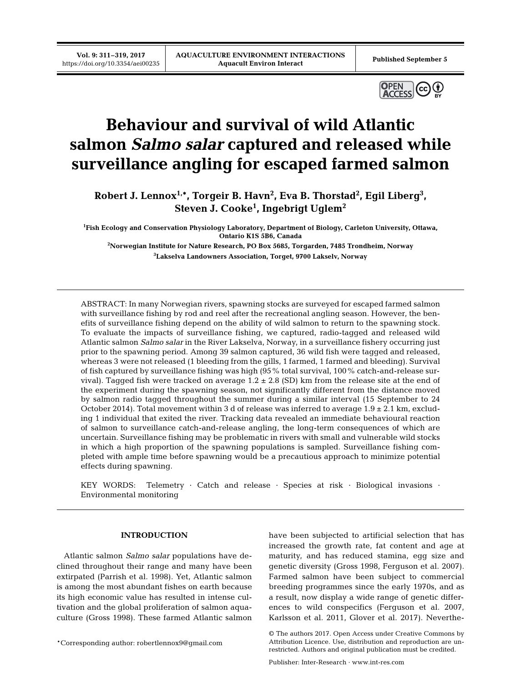**Vol. 9: 311–319, 2017**



# **Behaviour and survival of wild Atlantic salmon** *Salmo salar* **captured and released while surveillance angling for escaped farmed salmon**

**Robert J. Lennox1,\*, Torgeir B. Havn2 , Eva B. Thorstad2 , Egil Liberg3 , Steven J. Cooke1 , Ingebrigt Uglem2**

**1 Fish Ecology and Conservation Physiology Laboratory, Department of Biology, Carleton University, Ottawa, Ontario K1S 5B6, Canada**

**2 Norwegian Institute for Nature Research, PO Box 5685, Torgarden, 7485 Trondheim, Norway 3 Lakselva Landowners Association, Torget, 9700 Lakselv, Norway**

ABSTRACT: In many Norwegian rivers, spawning stocks are surveyed for escaped farmed salmon with surveillance fishing by rod and reel after the recreational angling season. However, the benefits of surveillance fishing depend on the ability of wild salmon to return to the spawning stock. To evaluate the impacts of surveillance fishing, we captured, radio-tagged and released wild Atlantic salmon *Salmo salar* in the River Lakselva, Norway, in a surveillance fishery occurring just prior to the spawning period. Among 39 salmon captured, 36 wild fish were tagged and released, whereas 3 were not released (1 bleeding from the gills, 1 farmed, 1 farmed and bleeding). Survival of fish captured by surveillance fishing was high (95% total survival, 100% catch-and-release survival). Tagged fish were tracked on average  $1.2 \pm 2.8$  (SD) km from the release site at the end of the experiment during the spawning season, not significantly different from the distance moved by salmon radio tagged throughout the summer during a similar interval (15 September to 24 October 2014). Total movement within 3 d of release was inferred to average  $1.9 \pm 2.1$  km, excluding 1 individual that exited the river. Tracking data revealed an immediate behavioural reaction of salmon to surveillance catch-and-release angling, the long-term consequences of which are uncertain. Surveillance fishing may be problematic in rivers with small and vulnerable wild stocks in which a high proportion of the spawning populations is sampled. Surveillance fishing completed with ample time before spawning would be a precautious approach to minimize potential effects during spawning.

KEY WORDS: Telemetry · Catch and release · Species at risk · Biological invasions · Environmental monitoring

## **INTRODUCTION**

Atlantic salmon *Salmo salar* populations have de clined throughout their range and many have been extirpated (Parrish et al. 1998). Yet, Atlantic salmon is among the most abundant fishes on earth because its high economic value has resulted in intense cultivation and the global proliferation of salmon aquaculture (Gross 1998). These farmed Atlantic salmon

\*Corresponding author: robertlennox9@gmail.com

have been subjected to artificial selection that has in creased the growth rate, fat content and age at maturity, and has reduced stamina, egg size and genetic diversity (Gross 1998, Ferguson et al. 2007). Farmed salmon have been subject to commercial breeding programmes since the early 1970s, and as a result, now display a wide range of genetic differences to wild conspecifics (Ferguson et al. 2007, Karlsson et al. 2011, Glover et al. 2017). Neverthe-

<sup>©</sup> The authors 2017. Open Access under Creative Commons by Attribution Licence. Use, distribution and reproduction are unrestricted. Authors and original publication must be credited.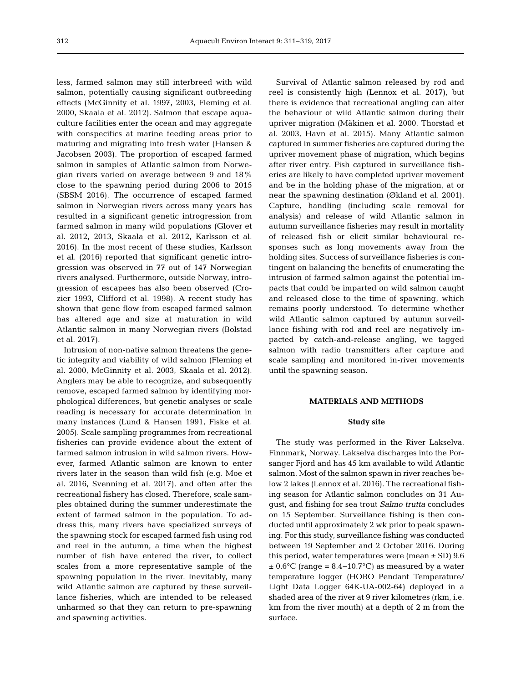less, farmed salmon may still interbreed with wild salmon, potentially causing significant outbreeding effects (Mc Ginnity et al. 1997, 2003, Fleming et al. 2000, Skaala et al. 2012). Salmon that escape aquaculture facilities enter the ocean and may aggregate with conspecifics at marine feeding areas prior to maturing and migrating into fresh water (Hansen & Jacobsen 2003). The proportion of escaped farmed salmon in samples of Atlantic salmon from Norwegian rivers varied on average between 9 and 18% close to the spawning period during 2006 to 2015 (SBSM 2016). The occurrence of escaped farmed salmon in Norwegian rivers across many years has resulted in a significant genetic introgression from farmed salmon in many wild populations (Glover et al. 2012, 2013, Skaala et al. 2012, Karlsson et al. 2016). In the most recent of these studies, Karlsson et al. (2016) reported that significant genetic introgression was observed in 77 out of 147 Norwegian rivers analysed. Furthermore, outside Norway, introgression of escapees has also been observed (Cro zier 1993, Clifford et al. 1998). A recent study has shown that gene flow from escaped farmed salmon has altered age and size at maturation in wild Atlantic salmon in many Norwegian rivers (Bolstad et al. 2017).

Intrusion of non-native salmon threatens the gene tic integrity and viability of wild salmon (Fleming et al. 2000, McGinnity et al. 2003, Skaala et al. 2012). Anglers may be able to recognize, and subsequently remove, escaped farmed salmon by identifying morphological differences, but genetic analyses or scale reading is necessary for accurate determination in many instances (Lund & Hansen 1991, Fiske et al. 2005). Scale sampling programmes from recreational fisheries can provide evidence about the extent of farmed salmon intrusion in wild salmon rivers. However, farmed Atlantic salmon are known to enter rivers later in the season than wild fish (e.g. Moe et al. 2016, Svenning et al. 2017), and often after the recreational fishery has closed. Therefore, scale samples obtained during the summer underestimate the extent of farmed salmon in the population. To address this, many rivers have specialized surveys of the spawning stock for escaped farmed fish using rod and reel in the autumn, a time when the highest number of fish have entered the river, to collect scales from a more representative sample of the spawning population in the river. Inevitably, many wild Atlantic salmon are captured by these surveillance fisheries, which are intended to be released unharmed so that they can return to pre-spawning and spawning activities.

Survival of Atlantic salmon released by rod and reel is consistently high (Lennox et al. 2017), but there is evidence that recreational angling can alter the behaviour of wild Atlantic salmon during their upriver migration (Mäkinen et al. 2000, Thorstad et al. 2003, Havn et al. 2015). Many Atlantic salmon captured in summer fisheries are captured during the upriver movement phase of migration, which begins after river entry. Fish captured in surveillance fisheries are likely to have completed upriver movement and be in the holding phase of the migration, at or near the spawning destination (Økland et al. 2001). Capture, handling (including scale removal for analysis) and release of wild Atlantic salmon in autumn surveillance fisheries may result in mortality of released fish or elicit similar behavioural re sponses such as long movements away from the holding sites. Success of surveillance fisheries is contingent on balancing the benefits of enumerating the intrusion of farmed salmon against the potential im pacts that could be imparted on wild salmon caught and released close to the time of spawning, which remains poorly understood. To determine whether wild Atlantic salmon captured by autumn surveillance fishing with rod and reel are negatively impacted by catch-and-release angling, we tagged salmon with radio transmitters after capture and scale sampling and monitored in-river movements until the spawning season.

## **MATERIALS AND METHODS**

## **Study site**

The study was performed in the River Lakselva, Finnmark, Norway. Lakselva discharges into the Porsanger Fjord and has 45 km available to wild Atlantic salmon. Most of the salmon spawn in river reaches below 2 lakes (Lennox et al. 2016). The recreational fishing season for Atlantic salmon concludes on 31 August, and fishing for sea trout *Salmo trutta* concludes on 15 September. Surveillance fishing is then conducted until approximately 2 wk prior to peak spawning. For this study, surveillance fishing was conducted between 19 September and 2 October 2016. During this period, water temperatures were (mean  $\pm$  SD) 9.6  $\pm$  0.6°C (range = 8.4–10.7°C) as measured by a water temperature logger (HOBO Pendant Temperature/ Light Data Logger 64K-UA-002-64) deployed in a shaded area of the river at 9 river kilometres (rkm, i.e. km from the river mouth) at a depth of 2 m from the surface.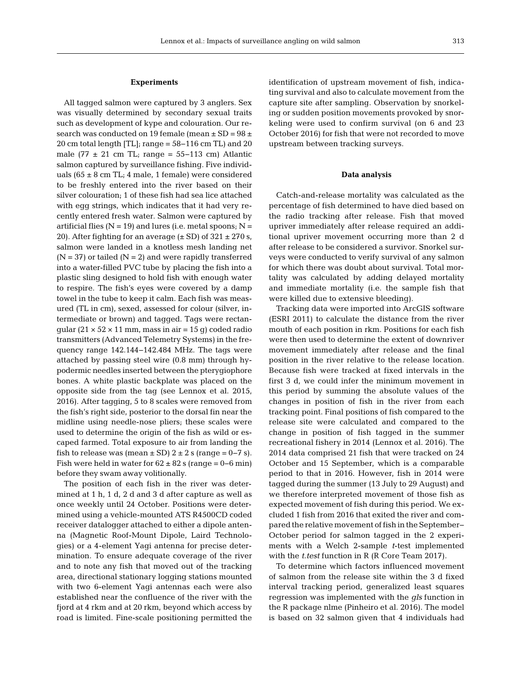### **Experiments**

All tagged salmon were captured by 3 anglers. Sex was visually determined by secondary sexual traits such as development of kype and colouration. Our research was conducted on 19 female (mean  $\pm$  SD = 98  $\pm$ 20 cm total length [TL]; range = 58−116 cm TL) and 20 male (77  $\pm$  21 cm TL; range = 55–113 cm) Atlantic salmon captured by surveillance fishing. Five individuals ( $65 \pm 8$  cm TL; 4 male, 1 female) were considered to be freshly entered into the river based on their silver colouration; 1 of these fish had sea lice attached with egg strings, which indicates that it had very recently entered fresh water. Salmon were captured by artificial flies ( $N = 19$ ) and lures (i.e. metal spoons;  $N =$ 20). After fighting for an average  $(\pm SD)$  of  $321 \pm 270$  s, salmon were landed in a knotless mesh landing net  $(N = 37)$  or tailed  $(N = 2)$  and were rapidly transferred into a water-filled PVC tube by placing the fish into a plastic sling designed to hold fish with enough water to respire. The fish's eyes were covered by a damp towel in the tube to keep it calm. Each fish was measured (TL in cm), sexed, assessed for colour (silver, intermediate or brown) and tagged. Tags were rectangular  $(21 \times 52 \times 11 \text{ mm}$ , mass in air = 15 g) coded radio transmitters (Advanced Telemetry Systems) in the frequency range 142.144–142.484 MHz. The tags were attached by passing steel wire (0.8 mm) through hypodermic needles inserted between the pterygiophore bones. A white plastic backplate was placed on the opposite side from the tag (see Lennox et al. 2015, 2016). After tagging, 5 to 8 scales were removed from the fish's right side, posterior to the dorsal fin near the midline using needle-nose pliers; these scales were used to determine the origin of the fish as wild or escaped farmed. Total exposure to air from landing the fish to release was (mean  $\pm$  SD) 2  $\pm$  2 s (range = 0–7 s). Fish were held in water for  $62 \pm 82$  s (range = 0–6 min) before they swam away volitionally.

The position of each fish in the river was determined at 1 h, 1 d, 2 d and 3 d after capture as well as once weekly until 24 October. Positions were determined using a vehicle-mounted ATS R4500CD coded receiver datalogger attached to either a dipole antenna (Magnetic Roof-Mount Dipole, Laird Technologies) or a 4-element Yagi antenna for precise determination. To ensure adequate coverage of the river and to note any fish that moved out of the tracking area, directional stationary logging stations mounted with two 6-element Yagi antennas each were also established near the confluence of the river with the fjord at 4 rkm and at 20 rkm, beyond which access by road is limited. Fine-scale positioning permitted the identification of upstream movement of fish, indicating survival and also to calculate movement from the capture site after sampling. Observation by snorkeling or sudden position movements provoked by snorkeling were used to confirm survival (on 6 and 23 October 2016) for fish that were not recorded to move upstream between tracking surveys.

#### **Data analysis**

Catch-and-release mortality was calculated as the percentage of fish determined to have died based on the radio tracking after release. Fish that moved upriver immediately after release required an additional upriver movement occurring more than 2 d after release to be considered a survivor. Snorkel surveys were conducted to verify survival of any salmon for which there was doubt about survival. Total mortality was calculated by adding delayed mortality and immediate mortality (i.e. the sample fish that were killed due to extensive bleeding).

Tracking data were imported into ArcGIS software (ESRI 2011) to calculate the distance from the river mouth of each position in rkm. Positions for each fish were then used to determine the extent of downriver movement immediately after release and the final position in the river relative to the release location. Because fish were tracked at fixed intervals in the first 3 d, we could infer the minimum movement in this period by summing the absolute values of the changes in position of fish in the river from each tracking point. Final positions of fish compared to the release site were calculated and compared to the change in position of fish tagged in the summer recreational fishery in 2014 (Lennox et al. 2016). The 2014 data comprised 21 fish that were tracked on 24 October and 15 September, which is a comparable period to that in 2016. However, fish in 2014 were tagged during the summer (13 July to 29 August) and we therefore interpreted movement of those fish as expected movement of fish during this period. We excluded 1 fish from 2016 that exited the river and compared the relative movement of fish in the September− October period for salmon tagged in the 2 experiments with a Welch 2-sample *t*-test implemented with the *t.test* function in R (R Core Team 2017).

To determine which factors influenced movement of salmon from the release site within the 3 d fixed interval tracking period, generalized least squares regression was implemented with the *gls* function in the R package nlme (Pinheiro et al. 2016). The model is based on 32 salmon given that 4 individuals had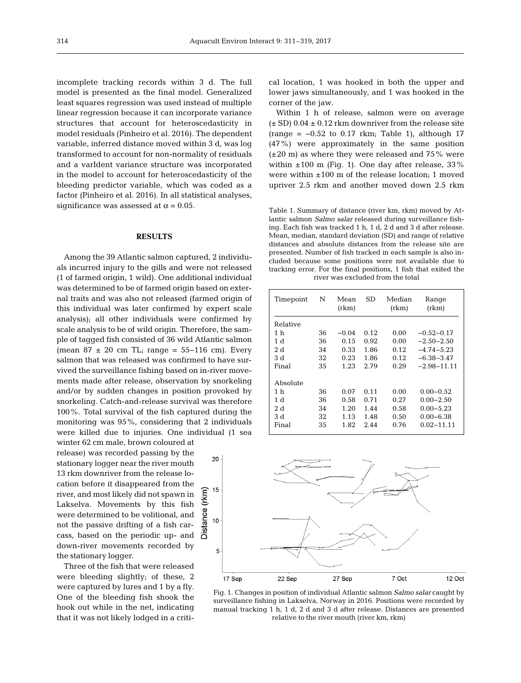incomplete tracking records within 3 d. The full model is presented as the final model. Generalized least squares regression was used instead of multiple linear regression because it can incorporate variance structures that account for heteroscedasticity in model residuals (Pinheiro et al. 2016). The dependent variable, inferred distance moved within 3 d, was log transformed to account for non-normality of residuals and a varIdent variance structure was incorporated in the model to account for heteroscedasticity of the bleeding predictor variable, which was coded as a factor (Pinheiro et al. 2016). In all statistical analyses, significance was assessed at  $\alpha$  = 0.05.

## **RESULTS**

Among the 39 Atlantic salmon captured, 2 individuals incurred injury to the gills and were not released (1 of farmed origin, 1 wild). One additional individual was determined to be of farmed origin based on external traits and was also not released (farmed origin of this individual was later confirmed by expert scale analysis); all other individuals were confirmed by scale analysis to be of wild origin. Therefore, the sample of tagged fish consisted of 36 wild Atlantic salmon (mean  $87 \pm 20$  cm TL; range = 55–116 cm). Every salmon that was released was confirmed to have survived the surveillance fishing based on in-river movements made after release, observation by snorkeling and/or by sudden changes in position provoked by snorkeling. Catch-and-release survival was therefore 100%. Total survival of the fish captured during the monitoring was 95%, considering that 2 individuals were killed due to injuries. One individual (1 sea

winter 62 cm male, brown coloured at release) was recorded passing by the stationary logger near the river mouth 13 rkm downriver from the release location before it disappeared from the river, and most likely did not spawn in Lakselva. Movements by this fish were determined to be volitional, and not the passive drifting of a fish carcass, based on the periodic up- and down-river movements recorded by the stationary logger.

Three of the fish that were released were bleeding slightly; of these, 2 were captured by lures and 1 by a fly. One of the bleeding fish shook the hook out while in the net, indicating that it was not likely lodged in a critical location, 1 was hooked in both the upper and lower jaws simultaneously, and 1 was hooked in the corner of the jaw.

Within 1 h of release, salmon were on average  $(\pm SD)$  0.04  $\pm$  0.12 rkm downriver from the release site (range =  $-0.52$  to 0.17 rkm; Table 1), although 17 (47%) were approximately in the same position  $(\pm 20 \text{ m})$  as where they were released and 75% were within  $\pm 100$  m (Fig. 1). One day after release, 33% were within  $\pm 100$  m of the release location; 1 moved upriver 2.5 rkm and another moved down 2.5 rkm

Table 1. Summary of distance (river km, rkm) moved by Atlantic salmon *Salmo salar* released during surveillance fishing. Each fish was tracked 1 h, 1 d, 2 d and 3 d after release. Mean, median, standard deviation (SD) and range of relative distances and absolute distances from the release site are presented. Number of fish tracked in each sample is also included because some positions were not available due to tracking error. For the final positions, 1 fish that exited the river was excluded from the total

| Timepoint      | N  | Mean<br>(rkm) | SD   | Median<br>(rkm) | Range<br>(rkm)  |
|----------------|----|---------------|------|-----------------|-----------------|
| Relative       |    |               |      |                 |                 |
| 1 h            | 36 | $-0.04$       | 0.12 | 0.00            | $-0.52-0.17$    |
| 1d             | 36 | 0.15          | 0.92 | 0.00            | $-2.50 - 2.50$  |
| 2d             | 34 | 0.33          | 1.86 | 0.12            | $-4.74 - 5.23$  |
| 3 d            | 32 | 0.23          | 1.86 | 0.12            | $-6.38 - 3.47$  |
| Final          | 35 | 1.23          | 2.79 | 0.29            | $-2.98 - 11.11$ |
| Absolute       |    |               |      |                 |                 |
| 1 h            | 36 | 0.07          | 0.11 | 0.00            | $0.00 - 0.52$   |
| 1 <sub>d</sub> | 36 | 0.58          | 0.71 | 0.27            | $0.00 - 2.50$   |
| 2d             | 34 | 1.20          | 1.44 | 0.58            | $0.00 - 5.23$   |
| 3 d            | 32 | 1.13          | 1.48 | 0.50            | $0.00 - 6.38$   |
| Final          | 35 | 1.82          | 2.44 | 0.76            | $0.02 - 11.11$  |



Fig. 1. Changes in position of individual Atlantic salmon *Salmo salar* caught by surveillance fishing in Lakselva, Norway in 2016. Positions were recorded by manual tracking 1 h, 1 d, 2 d and 3 d after release. Distances are presented relative to the river mouth (river km, rkm)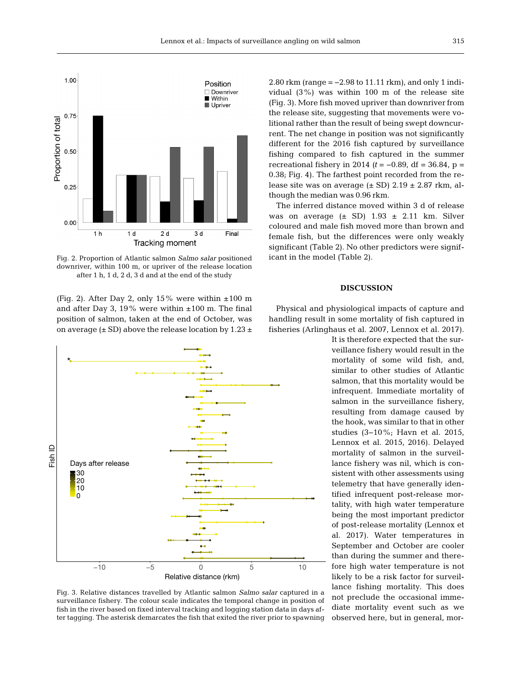

Fig. 2. Proportion of Atlantic salmon *Salmo salar* positioned downriver, within 100 m, or upriver of the release location after 1 h, 1 d, 2 d, 3 d and at the end of the study

(Fig. 2). After Day 2, only 15% were within  $\pm 100$  m and after Day 3, 19% were within  $\pm 100$  m. The final position of salmon, taken at the end of October, was on average  $(\pm SD)$  above the release location by 1.23  $\pm$ 



Fig. 3. Relative distances travelled by Atlantic salmon *Salmo salar* captured in a surveillance fishery. The colour scale indicates the temporal change in position of fish in the river based on fixed interval tracking and logging station data in days after tagging. The asterisk demarcates the fish that exited the river prior to spawning

2.80 rkm (range = −2.98 to 11.11 rkm), and only 1 individual (3%) was within 100 m of the release site (Fig. 3). More fish moved upriver than downriver from the release site, suggesting that movements were volitional rather than the result of being swept downcurrent. The net change in position was not significantly different for the 2016 fish captured by surveillance fishing compared to fish captured in the summer recreational fishery in 2014 *(t* = −0.89, df = 36.84, p = 0.38; Fig. 4). The farthest point recorded from the release site was on average  $(\pm SD)$  2.19  $\pm$  2.87 rkm, although the median was 0.96 rkm.

The inferred distance moved within 3 d of release was on average  $(\pm$  SD) 1.93  $\pm$  2.11 km. Silver coloured and male fish moved more than brown and female fish, but the differences were only weakly significant (Table 2). No other predictors were significant in the model (Table 2).

## **DISCUSSION**

Physical and physiological impacts of capture and handling result in some mortality of fish captured in fisheries (Arlinghaus et al. 2007, Lennox et al. 2017).

> It is therefore expected that the surveillance fishery would result in the mortality of some wild fish, and, similar to other studies of Atlantic salmon, that this mortality would be infrequent. Immediate mortality of salmon in the surveillance fishery, resulting from damage caused by the hook, was similar to that in other studies (3−10%; Havn et al. 2015, Lennox et al. 2015, 2016). Delayed mortality of salmon in the surveillance fishery was nil, which is consistent with other assessments using telemetry that have generally identified infrequent post-release mortality, with high water temperature being the most important predictor of post-release mortality (Lennox et al. 2017). Water temperatures in September and October are cooler than during the summer and therefore high water temperature is not likely to be a risk factor for surveillance fishing mortality. This does not preclude the occasional immediate mortality event such as we observed here, but in general, mor-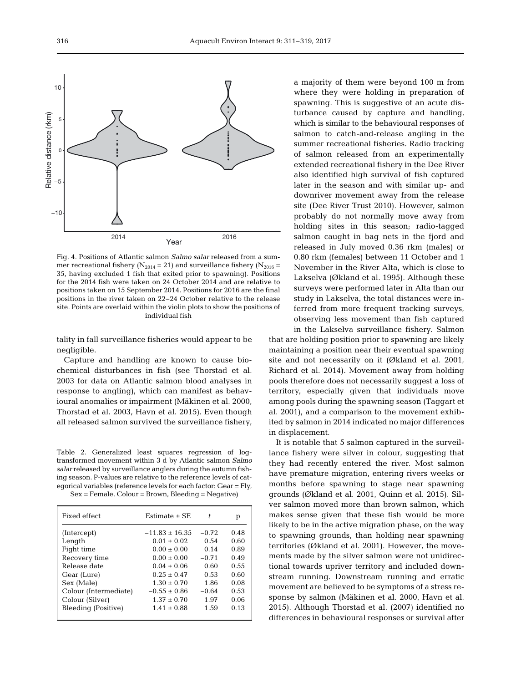

Fig. 4. Positions of Atlantic salmon *Salmo salar* released from a summer recreational fishery ( $N_{2014}$  = 21) and surveillance fishery ( $N_{2016}$  = 35, having excluded 1 fish that exited prior to spawning). Positions for the 2014 fish were taken on 24 October 2014 and are relative to positions taken on 15 September 2014. Positions for 2016 are the final positions in the river taken on 22−24 October relative to the release site. Points are overlaid within the violin plots to show the positions of individual fish

tality in fall surveillance fisheries would appear to be negligible.

Capture and handling are known to cause biochemical disturbances in fish (see Thorstad et al. 2003 for data on Atlantic salmon blood analyses in response to angling), which can manifest as behavioural anomalies or impairment (Mäkinen et al. 2000, Thorstad et al. 2003, Havn et al. 2015). Even though all released salmon survived the surveillance fishery,

Table 2. Generalized least squares regression of logtransformed movement within 3 d by Atlantic salmon *Salmo salar* released by surveillance anglers during the autumn fishing season. P-values are relative to the reference levels of categorical variables (reference levels for each factor: Gear = Fly, Sex = Female, Colour = Brown, Bleeding = Negative)

| Fixed effect          | Estimate $\pm$ SE | t.      | р    |
|-----------------------|-------------------|---------|------|
| (Intercept)           | $-11.83 + 16.35$  | $-0.72$ | 0.48 |
| Length                | $0.01 \pm 0.02$   | 0.54    | 0.60 |
| Fight time            | $0.00 \pm 0.00$   | 0.14    | 0.89 |
| Recovery time         | $0.00 \pm 0.00$   | $-0.71$ | 0.49 |
| Release date          | $0.04 \pm 0.06$   | 0.60    | 0.55 |
| Gear (Lure)           | $0.25 + 0.47$     | 0.53    | 0.60 |
| Sex (Male)            | $1.30 \pm 0.70$   | 1.86    | 0.08 |
| Colour (Intermediate) | $-0.55 \pm 0.86$  | $-0.64$ | 0.53 |
| Colour (Silver)       | $1.37 \pm 0.70$   | 1.97    | 0.06 |
| Bleeding (Positive)   | $1.41 + 0.88$     | 1.59    | 0.13 |
|                       |                   |         |      |

a majority of them were beyond 100 m from where they were holding in preparation of spawning. This is suggestive of an acute disturbance caused by capture and handling, which is similar to the behavioural responses of salmon to catch-and-release angling in the summer recreational fisheries. Radio tracking of salmon released from an experimentally extended recreational fishery in the Dee River also identified high survival of fish captured later in the season and with similar up- and downriver movement away from the release site (Dee River Trust 2010). However, salmon probably do not normally move away from holding sites in this season; radio-tagged salmon caught in bag nets in the fjord and released in July moved 0.36 rkm (males) or 0.80 rkm (females) between 11 October and 1 November in the River Alta, which is close to Lakselva (Økland et al. 1995). Although these surveys were performed later in Alta than our study in Lakselva, the total distances were in ferred from more frequent tracking surveys, ob serving less movement than fish captured

in the Lakselva surveillance fishery. Salmon that are holding position prior to spawning are likely maintaining a position near their eventual spawning site and not necessarily on it (Økland et al. 2001, Richard et al. 2014). Movement away from holding pools therefore does not necessarily suggest a loss of territory, especially given that individuals move among pools during the spawning season (Taggart et al. 2001), and a comparison to the movement exhibited by salmon in 2014 indicated no major differences in displacement.

It is notable that 5 salmon captured in the surveillance fishery were silver in colour, suggesting that they had recently entered the river. Most salmon have premature migration, entering rivers weeks or months before spawning to stage near spawning grounds (Økland et al. 2001, Quinn et al. 2015). Silver salmon moved more than brown salmon, which makes sense given that these fish would be more likely to be in the active migration phase, on the way to spawning grounds, than holding near spawning territories (Økland et al. 2001). However, the movements made by the silver salmon were not unidirectional towards upriver territory and included downstream running. Downstream running and erratic movement are believed to be symptoms of a stress re sponse by salmon (Mäkinen et al. 2000, Havn et al. 2015). Although Thorstad et al. (2007) identified no differences in behavioural responses or survival after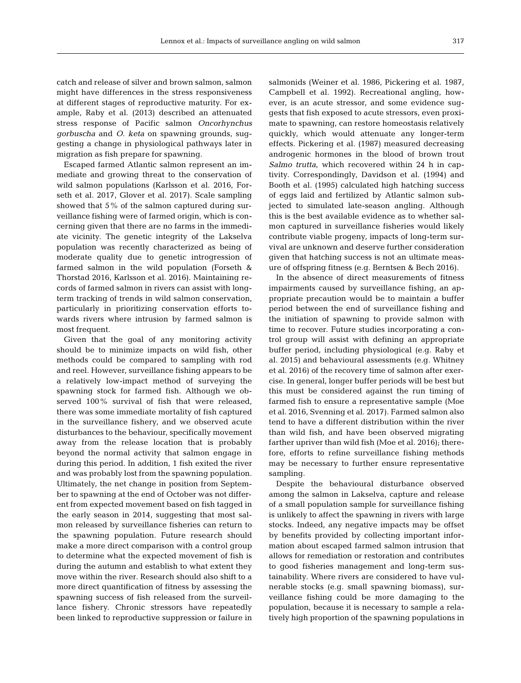catch and release of silver and brown salmon, salmon might have differences in the stress responsiveness at different stages of reproductive maturity. For example, Raby et al. (2013) described an attenuated stress response of Pacific salmon *Oncorhynchus gorbuscha* and *O. keta* on spawning grounds, suggesting a change in physiological pathways later in migration as fish prepare for spawning.

Escaped farmed Atlantic salmon represent an im mediate and growing threat to the conservation of wild salmon populations (Karlsson et al. 2016, Forseth et al. 2017, Glover et al. 2017). Scale sampling showed that 5% of the salmon captured during surveillance fishing were of farmed origin, which is concerning given that there are no farms in the immediate vicinity. The genetic integrity of the Lakselva population was recently characterized as being of moderate quality due to genetic introgression of farmed salmon in the wild population (Forseth & Thorstad 2016, Karlsson et al. 2016). Maintaining re cords of farmed salmon in rivers can assist with longterm tracking of trends in wild salmon conservation, particularly in prioritizing conservation efforts towards rivers where intrusion by farmed salmon is most frequent.

Given that the goal of any monitoring activity should be to minimize impacts on wild fish, other methods could be compared to sampling with rod and reel. However, surveillance fishing appears to be a relatively low-impact method of surveying the spawning stock for farmed fish. Although we observed 100% survival of fish that were released, there was some immediate mortality of fish captured in the surveillance fishery, and we observed acute disturbances to the behaviour, specifically movement away from the release location that is probably beyond the normal activity that salmon engage in during this period. In addition, 1 fish exited the river and was probably lost from the spawning population. Ultimately, the net change in position from September to spawning at the end of October was not different from expected movement based on fish tagged in the early season in 2014, suggesting that most salmon released by surveillance fisheries can return to the spawning population. Future research should make a more direct comparison with a control group to determine what the expected movement of fish is during the autumn and establish to what extent they move within the river. Research should also shift to a more direct quantification of fitness by assessing the spawning success of fish released from the surveillance fishery. Chronic stressors have repeatedly been linked to reproductive suppression or failure in

salmonids (Weiner et al. 1986, Pickering et al. 1987, Campbell et al. 1992). Recreational angling, however, is an acute stressor, and some evidence suggests that fish exposed to acute stressors, even proximate to spawning, can restore homeostasis relatively quickly, which would attenuate any longer-term effects. Pickering et al. (1987) measured decreasing androgenic hormones in the blood of brown trout *Salmo trutta*, which recovered within 24 h in captivity. Correspondingly, Davidson et al. (1994) and Booth et al. (1995) calculated high hatching success of eggs laid and fertilized by Atlantic salmon subjected to simulated late-season angling. Although this is the best available evidence as to whether salmon captured in surveillance fisheries would likely contribute viable progeny, impacts of long-term survival are unknown and deserve further consideration given that hatching success is not an ultimate measure of offspring fitness (e.g. Berntsen & Bech 2016).

In the absence of direct measurements of fitness impairments caused by surveillance fishing, an appropriate precaution would be to maintain a buffer period between the end of surveillance fishing and the initiation of spawning to provide salmon with time to recover. Future studies incorporating a control group will assist with defining an appropriate buffer period, including physiological (e.g. Raby et al. 2015) and behavioural assessments (e.g. Whitney et al. 2016) of the recovery time of salmon after exercise. In general, longer buffer periods will be best but this must be considered against the run timing of farmed fish to ensure a representative sample (Moe et al. 2016, Svenning et al. 2017). Farmed salmon also tend to have a different distribution within the river than wild fish, and have been observed migrating farther upriver than wild fish (Moe et al. 2016); therefore, efforts to refine surveillance fishing methods may be necessary to further ensure representative sampling.

Despite the behavioural disturbance observed among the salmon in Lakselva, capture and release of a small population sample for surveillance fishing is unlikely to affect the spawning in rivers with large stocks. Indeed, any negative impacts may be offset by benefits provided by collecting important information about escaped farmed salmon intrusion that allows for remediation or restoration and contributes to good fisheries management and long-term sustainability. Where rivers are considered to have vulnerable stocks (e.g. small spawning biomass), surveillance fishing could be more damaging to the population, because it is necessary to sample a relatively high proportion of the spawning populations in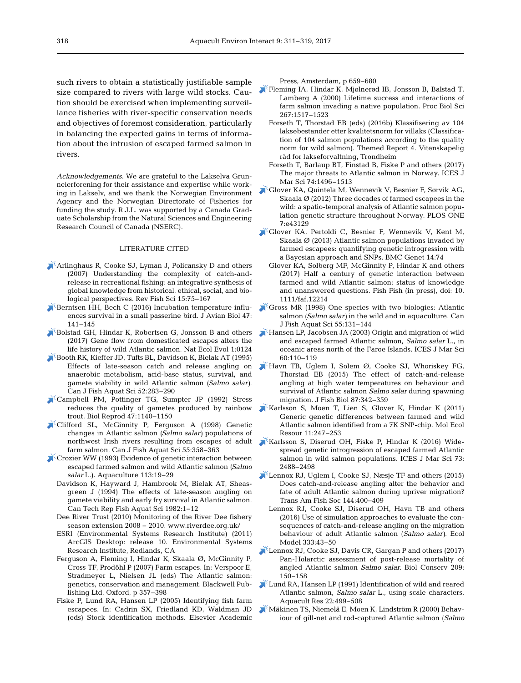such rivers to obtain a statistically justifiable sample size compared to rivers with large wild stocks. Caution should be exercised when implementing surveillance fisheries with river-specific conservation needs and objectives of foremost consideration, particularly in balancing the expected gains in terms of information about the intrusion of escaped farmed salmon in rivers.

*Acknowledgements*. We are grateful to the Lakselva Grunneierforening for their assistance and expertise while working in Lakselv, and we thank the Norwegian Environment Agency and the Norwegian Directorate of Fisheries for funding the study. R.J.L. was supported by a Canada Graduate Scholarship from the Natural Sciences and Engineering Research Council of Canada (NSERC).

## LITERATURE CITED

- [Arlinghaus R, Cooke SJ, Lyman J, Policansky D and others](https://doi.org/10.1080/10641260601149432) (2007) Understanding the complexity of catch-andrelease in recreational fishing: an integrative synthesis of global knowledge from historical, ethical, social, and biological perspectives. Rev Fish Sci 15:75-167
- $\blacktriangleright$  [Berntsen HH, Bech C \(2016\) Incubation temperature influ](https://doi.org/10.1111/jav.00688)ences survival in a small passerine bird. J Avian Biol 47: 141−145
- [Bolstad GH, Hindar K, Robertsen G, Jonsson B and others](https://doi.org/10.1038/s41559-017-0124) (2017) Gene flow from domesticated escapes alters the life history of wild Atlantic salmon. Nat Ecol Evol 1:0124
- [Booth RK, Kieffer JD, Tufts BL, Davidson K, Bielak AT \(1995\)](https://doi.org/10.1139/f95-029) Effects of late-season catch and release angling on anaerobic metabolism, acid-base status, survival, and gamete viability in wild Atlantic salmon *(Salmo salar)*. Can J Fish Aquat Sci 52: 283−290
- [Campbell PM, Pottinger TG, Sumpter JP \(1992\) Stress](https://doi.org/10.1095/biolreprod47.6.1140) reduces the quality of gametes produced by rainbow trout. Biol Reprod 47: 1140−1150
- [Clifford SL, McGinnity P, Ferguson A \(1998\) Genetic](https://doi.org/10.1139/f97-229) changes in Atlantic salmon *(Salmo salar)* populations of northwest Irish rivers resulting from escapes of adult farm salmon. Can J Fish Aquat Sci 55: 358−363
- [Crozier WW \(1993\) Evidence of genetic interaction between](https://doi.org/10.1016/0044-8486(93)90337-X) escaped farmed salmon and wild Atlantic salmon *(Salmo salar* L.). Aquaculture 113: 19−29
	- Davidson K, Hayward J, Hambrook M, Bielak AT, Sheasgreen J (1994) The effects of late-season angling on gamete viability and early fry survival in Atlantic salmon. Can Tech Rep Fish Aquat Sci 1982: 1−12
	- Dee River Trust (2010) Monitoring of the River Dee fishery season extension 2008 − 2010. www.riverdee.org.uk/
	- ESRI (Environmental Systems Research Institute) (2011) ArcGIS Desktop: release 10. Environmental Systems Research Institute, Redlands, CA
	- Ferguson A, Fleming I, Hindar K, Skaala Ø, McGinnity P, Cross TF, Prodöhl P (2007) Farm escapes. In: Verspoor E, Stradmeyer L, Nielsen JL (eds) The Atlantic salmon: genetics, conservation and management. Blackwell Publishing Ltd, Oxford, p 357−398
	- Fiske P, Lund RA, Hansen LP (2005) Identifying fish farm escapees. In:Cadrin SX, Friedland KD, Waldman JD (eds) Stock identification methods. Elsevier Academic

Press, Amsterdam, p 659−680

- [Fleming IA, Hindar K, Mjølnerød IB, Jonsson B, Balstad T,](https://doi.org/10.1098/rspb.2000.1173) Lamberg A (2000) Lifetime success and interactions of farm salmon invading a native population. Proc Biol Sci 267: 1517−1523
	- Forseth T, Thorstad EB (eds) (2016b) Klassifisering av 104 laksebestander etter kvalitetsnorm for villaks (Classification of 104 salmon populations according to the quality norm for wild salmon). Themed Report 4. Vitenskapelig råd for lakseforvaltning, Trondheim
	- Forseth T, Barlaup BT, Finstad B, Fiske P and others (2017) The major threats to Atlantic salmon in Norway. ICES J Mar Sci 74:1496–1513
- [Glover KA, Quintela M, Wennevik V, Besnier F, Sørvik AG,](https://doi.org/10.1371/journal.pone.0043129) Skaala  $\varnothing$  (2012) Three decades of farmed escapees in the wild: a spatio-temporal analysis of Atlantic salmon population genetic structure throughout Norway. PLOS ONE 7: e43129
- [Glover KA, Pertoldi C, Besnier F, Wennevik V, Kent M,](https://doi.org/10.1186/1471-2156-14-74) Skaala Ø (2013) Atlantic salmon populations invaded by farmed escapees: quantifying genetic introgression with a Bayesian approach and SNPs. BMC Genet 14:74
	- Glover KA, Solberg MF, McGinnity P, Hindar K and others (2017) Half a century of genetic interaction between farmed and wild Atlantic salmon: status of knowledge and unanswered questions. Fish Fish (in press), doi:10. 1111/faf.12214
- Gross MR (1998) One species with two biologies: Atlantic salmon *(Salmo salar)* in the wild and in aquaculture. Can J Fish Aquat Sci 55: 131−144
- [Hansen LP, Jacobsen JA \(2003\) Origin and migration of wild](https://doi.org/10.1006/jmsc.2002.1324) and escaped farmed Atlantic salmon, *Salmo salar* L., in oceanic areas north of the Faroe Islands. ICES J Mar Sci 60: 110−119
- [Havn TB, Uglem I, Solem Ø, Cooke SJ, Whoriskey FG,](https://doi.org/10.1111/jfb.12722) Thorstad EB (2015) The effect of catch-and-release angling at high water temperatures on behaviour and survival of Atlantic salmon *Salmo salar* during spawning migration. J Fish Biol 87: 342−359
- [Karlsson S, Moen T, Lien S, Glover K, Hindar K \(2011\)](https://doi.org/10.1111/j.1755-0998.2010.02959.x) Generic genetic differences between farmed and wild Atlantic salmon identified from a 7K SNP-chip. Mol Ecol Resour 11: 247−253
- [Karlsson S, Diserud OH, Fiske P, Hindar K \(2016\) Wide](https://doi.org/10.1093/icesjms/fsw121)spread genetic introgression of escaped farmed Atlantic salmon in wild salmon populations. ICES J Mar Sci 73: 2488−2498
- [Lennox RJ, Uglem I, Cooke SJ, Næsje TF and others \(2015\)](https://doi.org/10.1080/00028487.2014.1001041) Does catch-and-release angling alter the behavior and fate of adult Atlantic salmon during upriver migration? Trans Am Fish Soc 144:400-409
	- Lennox RJ, Cooke SJ, Diserud OH, Havn TB and others (2016) Use of simulation approaches to evaluate the consequences of catch-and-release angling on the migration behaviour of adult Atlantic salmon (*Salmo salar)*. Ecol Model 333:43-50
- [Lennox RJ, Cooke SJ, Davis CR, Gargan P and others \(2017\)](https://doi.org/10.1016/j.biocon.2017.01.022) Pan-Holarctic assessment of post-release mortality of angled Atlantic salmon *Salmo salar.* Biol Conserv 209: 150−158
- [Lund RA, Hansen LP \(1991\) Identification of wild and reared](https://doi.org/10.1111/j.1365-2109.1991.tb00763.x) Atlantic salmon, *Salmo salar* L., using scale characters. Aquacult Res 22:499-508
- [Mäkinen TS, Niemelä E, Moen K, Lindström R \(2000\) Behav](https://doi.org/10.1016/S0165-7836(99)00107-1)iour of gill-net and rod-captured Atlantic salmon (*Salmo*